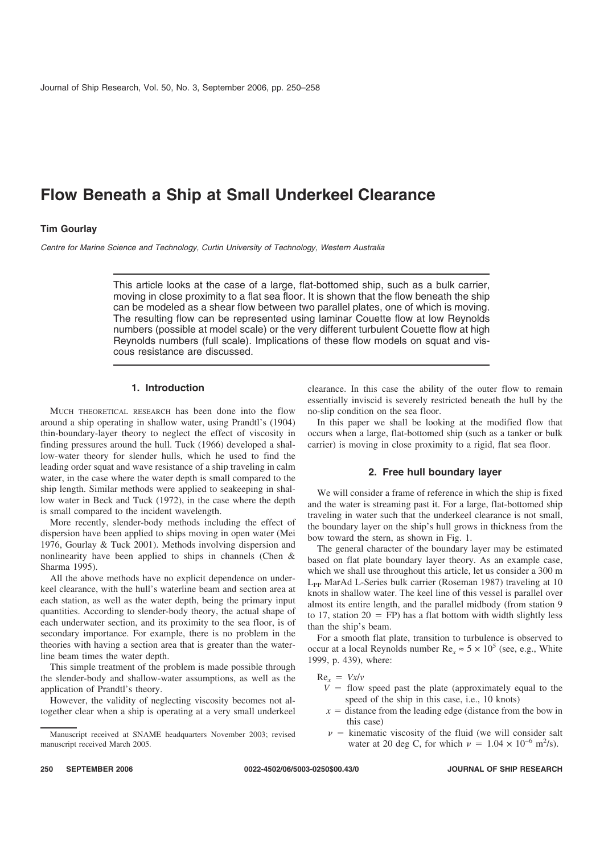# **Flow Beneath a Ship at Small Underkeel Clearance**

# **Tim Gourlay**

Centre for Marine Science and Technology, Curtin University of Technology, Western Australia

This article looks at the case of a large, flat-bottomed ship, such as a bulk carrier, moving in close proximity to a flat sea floor. It is shown that the flow beneath the ship can be modeled as a shear flow between two parallel plates, one of which is moving. The resulting flow can be represented using laminar Couette flow at low Reynolds numbers (possible at model scale) or the very different turbulent Couette flow at high Reynolds numbers (full scale). Implications of these flow models on squat and viscous resistance are discussed.

# **1. Introduction**

MUCH THEORETICAL RESEARCH has been done into the flow around a ship operating in shallow water, using Prandtl's (1904) thin-boundary-layer theory to neglect the effect of viscosity in finding pressures around the hull. Tuck (1966) developed a shallow-water theory for slender hulls, which he used to find the leading order squat and wave resistance of a ship traveling in calm water, in the case where the water depth is small compared to the ship length. Similar methods were applied to seakeeping in shallow water in Beck and Tuck (1972), in the case where the depth is small compared to the incident wavelength.

More recently, slender-body methods including the effect of dispersion have been applied to ships moving in open water (Mei 1976, Gourlay & Tuck 2001). Methods involving dispersion and nonlinearity have been applied to ships in channels (Chen & Sharma 1995).

All the above methods have no explicit dependence on underkeel clearance, with the hull's waterline beam and section area at each station, as well as the water depth, being the primary input quantities. According to slender-body theory, the actual shape of each underwater section, and its proximity to the sea floor, is of secondary importance. For example, there is no problem in the theories with having a section area that is greater than the waterline beam times the water depth.

This simple treatment of the problem is made possible through the slender-body and shallow-water assumptions, as well as the application of Prandtl's theory.

However, the validity of neglecting viscosity becomes not altogether clear when a ship is operating at a very small underkeel clearance. In this case the ability of the outer flow to remain essentially inviscid is severely restricted beneath the hull by the no-slip condition on the sea floor.

In this paper we shall be looking at the modified flow that occurs when a large, flat-bottomed ship (such as a tanker or bulk carrier) is moving in close proximity to a rigid, flat sea floor.

# **2. Free hull boundary layer**

We will consider a frame of reference in which the ship is fixed and the water is streaming past it. For a large, flat-bottomed ship traveling in water such that the underkeel clearance is not small, the boundary layer on the ship's hull grows in thickness from the bow toward the stern, as shown in Fig. 1.

The general character of the boundary layer may be estimated based on flat plate boundary layer theory. As an example case, which we shall use throughout this article, let us consider a 300 m L<sub>PP</sub> MarAd L-Series bulk carrier (Roseman 1987) traveling at 10 knots in shallow water. The keel line of this vessel is parallel over almost its entire length, and the parallel midbody (from station 9 to 17, station  $20 = FP$ ) has a flat bottom with width slightly less than the ship's beam.

For a smooth flat plate, transition to turbulence is observed to occur at a local Reynolds number  $\text{Re}_x \approx 5 \times 10^5$  (see, e.g., White 1999, p. 439), where:

 $Re_x = Vx/v$ 

- $V =$  flow speed past the plate (approximately equal to the speed of the ship in this case, i.e., 10 knots)
- $x =$  distance from the leading edge (distance from the bow in this case)
- $\nu$  = kinematic viscosity of the fluid (we will consider salt water at 20 deg C, for which  $\nu = 1.04 \times 10^{-6}$  m<sup>2</sup>/s).

**250 SEPTEMBER 2006 0022-4502/06/5003-0250\$00.43/0 JOURNAL OF SHIP RESEARCH**

Manuscript received at SNAME headquarters November 2003; revised manuscript received March 2005.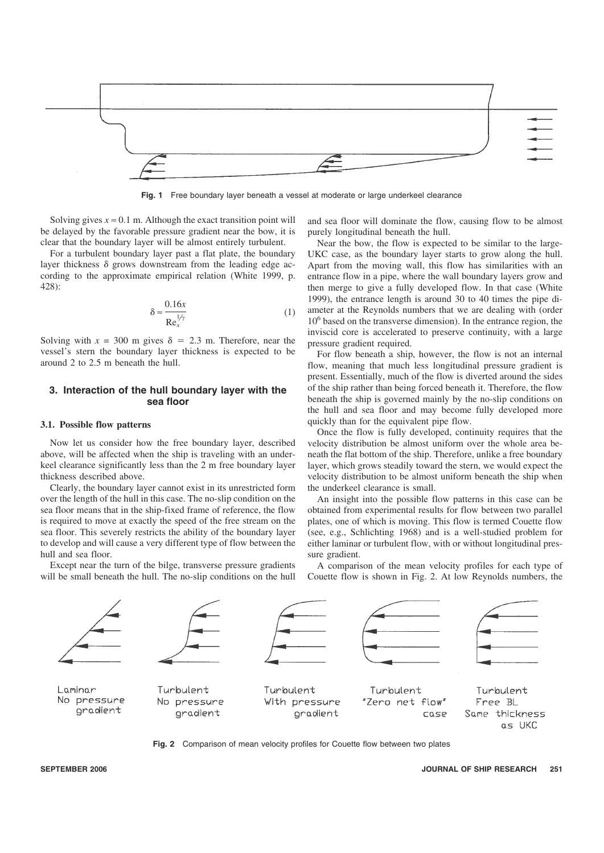

Fig. 1 Free boundary layer beneath a vessel at moderate or large underkeel clearance

Solving gives  $x \approx 0.1$  m. Although the exact transition point will be delayed by the favorable pressure gradient near the bow, it is clear that the boundary layer will be almost entirely turbulent.

For a turbulent boundary layer past a flat plate, the boundary layer thickness  $\delta$  grows downstream from the leading edge according to the approximate empirical relation (White 1999, p. 428):

$$
\delta \approx \frac{0.16x}{\text{Re}_x^{1/\gamma}}
$$
 (1)

Solving with  $x = 300$  m gives  $\delta = 2.3$  m. Therefore, near the vessel's stern the boundary layer thickness is expected to be around 2 to 2.5 m beneath the hull.

# **3. Interaction of the hull boundary layer with the sea floor**

# **3.1. Possible flow patterns**

Now let us consider how the free boundary layer, described above, will be affected when the ship is traveling with an underkeel clearance significantly less than the 2 m free boundary layer thickness described above.

Clearly, the boundary layer cannot exist in its unrestricted form over the length of the hull in this case. The no-slip condition on the sea floor means that in the ship-fixed frame of reference, the flow is required to move at exactly the speed of the free stream on the sea floor. This severely restricts the ability of the boundary layer to develop and will cause a very different type of flow between the hull and sea floor.

Except near the turn of the bilge, transverse pressure gradients will be small beneath the hull. The no-slip conditions on the hull

and sea floor will dominate the flow, causing flow to be almost purely longitudinal beneath the hull.

Near the bow, the flow is expected to be similar to the large-UKC case, as the boundary layer starts to grow along the hull. Apart from the moving wall, this flow has similarities with an entrance flow in a pipe, where the wall boundary layers grow and then merge to give a fully developed flow. In that case (White 1999), the entrance length is around 30 to 40 times the pipe diameter at the Reynolds numbers that we are dealing with (order  $10<sup>6</sup>$  based on the transverse dimension). In the entrance region, the inviscid core is accelerated to preserve continuity, with a large pressure gradient required.

For flow beneath a ship, however, the flow is not an internal flow, meaning that much less longitudinal pressure gradient is present. Essentially, much of the flow is diverted around the sides of the ship rather than being forced beneath it. Therefore, the flow beneath the ship is governed mainly by the no-slip conditions on the hull and sea floor and may become fully developed more quickly than for the equivalent pipe flow.

Once the flow is fully developed, continuity requires that the velocity distribution be almost uniform over the whole area beneath the flat bottom of the ship. Therefore, unlike a free boundary layer, which grows steadily toward the stern, we would expect the velocity distribution to be almost uniform beneath the ship when the underkeel clearance is small.

An insight into the possible flow patterns in this case can be obtained from experimental results for flow between two parallel plates, one of which is moving. This flow is termed Couette flow (see, e.g., Schlichting 1968) and is a well-studied problem for either laminar or turbulent flow, with or without longitudinal pressure gradient.

A comparison of the mean velocity profiles for each type of Couette flow is shown in Fig. 2. At low Reynolds numbers, the



**Fig. 2** Comparison of mean velocity profiles for Couette flow between two plates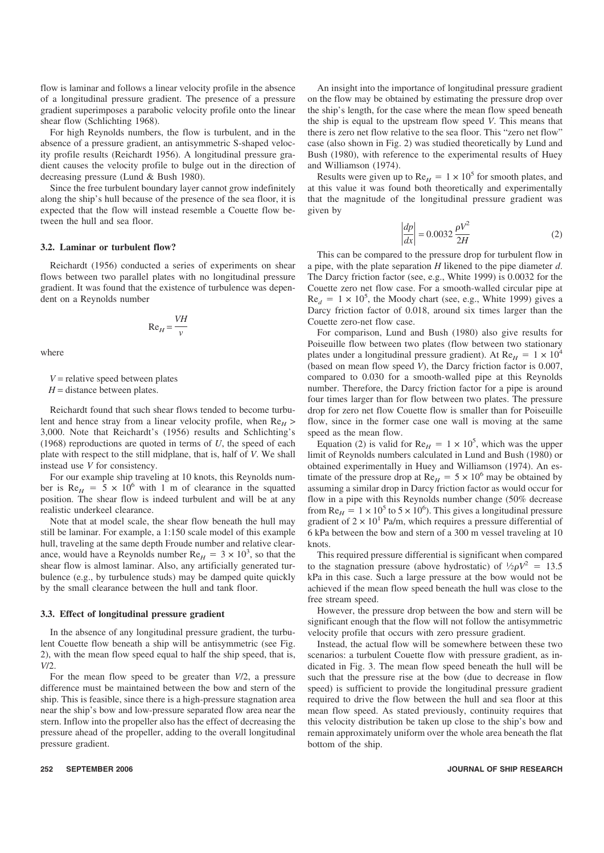flow is laminar and follows a linear velocity profile in the absence of a longitudinal pressure gradient. The presence of a pressure gradient superimposes a parabolic velocity profile onto the linear shear flow (Schlichting 1968).

For high Reynolds numbers, the flow is turbulent, and in the absence of a pressure gradient, an antisymmetric S-shaped velocity profile results (Reichardt 1956). A longitudinal pressure gradient causes the velocity profile to bulge out in the direction of decreasing pressure (Lund & Bush 1980).

Since the free turbulent boundary layer cannot grow indefinitely along the ship's hull because of the presence of the sea floor, it is expected that the flow will instead resemble a Couette flow between the hull and sea floor.

# **3.2. Laminar or turbulent flow?**

Reichardt (1956) conducted a series of experiments on shear flows between two parallel plates with no longitudinal pressure gradient. It was found that the existence of turbulence was dependent on a Reynolds number

$$
\text{Re}_H = \frac{VH}{v}
$$

where

 $V =$  relative speed between plates

 $H =$  distance between plates.

Reichardt found that such shear flows tended to become turbulent and hence stray from a linear velocity profile, when  $Re<sub>H</sub>$ 3,000. Note that Reichardt's (1956) results and Schlichting's (1968) reproductions are quoted in terms of *U*, the speed of each plate with respect to the still midplane, that is, half of *V*. We shall instead use *V* for consistency.

For our example ship traveling at 10 knots, this Reynolds number is  $Re<sub>H</sub> = 5 \times 10^6$  with 1 m of clearance in the squatted position. The shear flow is indeed turbulent and will be at any realistic underkeel clearance.

Note that at model scale, the shear flow beneath the hull may still be laminar. For example, a 1:150 scale model of this example hull, traveling at the same depth Froude number and relative clearance, would have a Reynolds number  $Re<sub>H</sub> = 3 \times 10^3$ , so that the shear flow is almost laminar. Also, any artificially generated turbulence (e.g., by turbulence studs) may be damped quite quickly by the small clearance between the hull and tank floor.

#### **3.3. Effect of longitudinal pressure gradient**

In the absence of any longitudinal pressure gradient, the turbulent Couette flow beneath a ship will be antisymmetric (see Fig. 2), with the mean flow speed equal to half the ship speed, that is, *V*/2.

For the mean flow speed to be greater than *V*/2, a pressure difference must be maintained between the bow and stern of the ship. This is feasible, since there is a high-pressure stagnation area near the ship's bow and low-pressure separated flow area near the stern. Inflow into the propeller also has the effect of decreasing the pressure ahead of the propeller, adding to the overall longitudinal pressure gradient.

An insight into the importance of longitudinal pressure gradient on the flow may be obtained by estimating the pressure drop over the ship's length, for the case where the mean flow speed beneath the ship is equal to the upstream flow speed *V*. This means that there is zero net flow relative to the sea floor. This "zero net flow" case (also shown in Fig. 2) was studied theoretically by Lund and Bush (1980), with reference to the experimental results of Huey and Williamson (1974).

Results were given up to  $Re<sub>H</sub> = 1 \times 10^5$  for smooth plates, and at this value it was found both theoretically and experimentally that the magnitude of the longitudinal pressure gradient was given by

$$
\left|\frac{dp}{dx}\right| = 0.0032 \frac{\rho V^2}{2H} \tag{2}
$$

This can be compared to the pressure drop for turbulent flow in a pipe, with the plate separation *H* likened to the pipe diameter *d*. The Darcy friction factor (see, e.g., White 1999) is 0.0032 for the Couette zero net flow case. For a smooth-walled circular pipe at  $Re<sub>d</sub> = 1 \times 10<sup>5</sup>$ , the Moody chart (see, e.g., White 1999) gives a Darcy friction factor of 0.018, around six times larger than the Couette zero-net flow case.

For comparison, Lund and Bush (1980) also give results for Poiseuille flow between two plates (flow between two stationary plates under a longitudinal pressure gradient). At  $Re<sub>H</sub> = 1 \times 10^4$ (based on mean flow speed *V*), the Darcy friction factor is 0.007, compared to 0.030 for a smooth-walled pipe at this Reynolds number. Therefore, the Darcy friction factor for a pipe is around four times larger than for flow between two plates. The pressure drop for zero net flow Couette flow is smaller than for Poiseuille flow, since in the former case one wall is moving at the same speed as the mean flow.

Equation (2) is valid for  $Re<sub>H</sub> = 1 \times 10^5$ , which was the upper limit of Reynolds numbers calculated in Lund and Bush (1980) or obtained experimentally in Huey and Williamson (1974). An estimate of the pressure drop at  $Re<sub>H</sub> = 5 \times 10^6$  may be obtained by assuming a similar drop in Darcy friction factor as would occur for flow in a pipe with this Reynolds number change (50% decrease from Re<sub>H</sub> =  $1 \times 10^5$  to  $5 \times 10^6$ ). This gives a longitudinal pressure gradient of  $2 \times 10^1$  Pa/m, which requires a pressure differential of 6 kPa between the bow and stern of a 300 m vessel traveling at 10 knots.

This required pressure differential is significant when compared to the stagnation pressure (above hydrostatic) of  $\frac{1}{2}\rho V^2 = 13.5$ kPa in this case. Such a large pressure at the bow would not be achieved if the mean flow speed beneath the hull was close to the free stream speed.

However, the pressure drop between the bow and stern will be significant enough that the flow will not follow the antisymmetric velocity profile that occurs with zero pressure gradient.

Instead, the actual flow will be somewhere between these two scenarios: a turbulent Couette flow with pressure gradient, as indicated in Fig. 3. The mean flow speed beneath the hull will be such that the pressure rise at the bow (due to decrease in flow speed) is sufficient to provide the longitudinal pressure gradient required to drive the flow between the hull and sea floor at this mean flow speed. As stated previously, continuity requires that this velocity distribution be taken up close to the ship's bow and remain approximately uniform over the whole area beneath the flat bottom of the ship.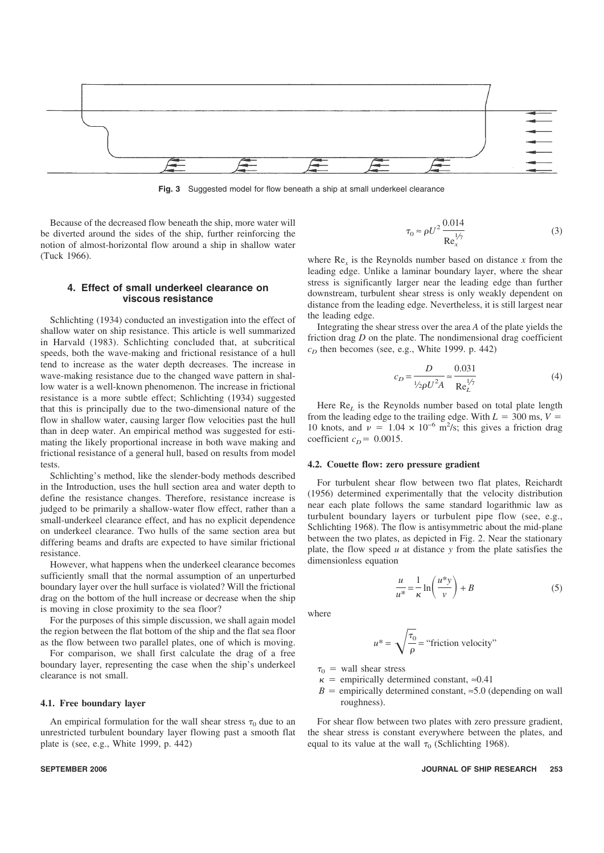

**Fig. 3** Suggested model for flow beneath a ship at small underkeel clearance

Because of the decreased flow beneath the ship, more water will be diverted around the sides of the ship, further reinforcing the notion of almost-horizontal flow around a ship in shallow water (Tuck 1966).

## **4. Effect of small underkeel clearance on viscous resistance**

Schlichting (1934) conducted an investigation into the effect of shallow water on ship resistance. This article is well summarized in Harvald (1983). Schlichting concluded that, at subcritical speeds, both the wave-making and frictional resistance of a hull tend to increase as the water depth decreases. The increase in wave-making resistance due to the changed wave pattern in shallow water is a well-known phenomenon. The increase in frictional resistance is a more subtle effect; Schlichting (1934) suggested that this is principally due to the two-dimensional nature of the flow in shallow water, causing larger flow velocities past the hull than in deep water. An empirical method was suggested for estimating the likely proportional increase in both wave making and frictional resistance of a general hull, based on results from model tests.

Schlichting's method, like the slender-body methods described in the Introduction, uses the hull section area and water depth to define the resistance changes. Therefore, resistance increase is judged to be primarily a shallow-water flow effect, rather than a small-underkeel clearance effect, and has no explicit dependence on underkeel clearance. Two hulls of the same section area but differing beams and drafts are expected to have similar frictional resistance.

However, what happens when the underkeel clearance becomes sufficiently small that the normal assumption of an unperturbed boundary layer over the hull surface is violated? Will the frictional drag on the bottom of the hull increase or decrease when the ship is moving in close proximity to the sea floor?

For the purposes of this simple discussion, we shall again model the region between the flat bottom of the ship and the flat sea floor as the flow between two parallel plates, one of which is moving.

For comparison, we shall first calculate the drag of a free boundary layer, representing the case when the ship's underkeel clearance is not small.

# **4.1. Free boundary layer**

An empirical formulation for the wall shear stress  $\tau_0$  due to an unrestricted turbulent boundary layer flowing past a smooth flat plate is (see, e.g., White 1999, p. 442)

$$
\tau_0 \approx \rho U^2 \frac{0.014}{\text{Re}_x^{\frac{1}{\gamma}}}
$$
 (3)

where  $Re<sub>x</sub>$  is the Reynolds number based on distance *x* from the leading edge. Unlike a laminar boundary layer, where the shear stress is significantly larger near the leading edge than further downstream, turbulent shear stress is only weakly dependent on distance from the leading edge. Nevertheless, it is still largest near the leading edge.

Integrating the shear stress over the area *A* of the plate yields the friction drag *D* on the plate. The nondimensional drag coefficient  $c<sub>D</sub>$  then becomes (see, e.g., White 1999. p. 442)

$$
c_D = \frac{D}{V_2 \rho U^2 A} \approx \frac{0.031}{\text{Re}_L^{1/7}}
$$
(4)

Here  $\text{Re}_I$  is the Reynolds number based on total plate length from the leading edge to the trailing edge. With  $L = 300$  ms,  $V =$ 10 knots, and  $\nu = 1.04 \times 10^{-6}$  m<sup>2</sup>/s; this gives a friction drag coefficient  $c_D$  = 0.0015.

#### **4.2. Couette flow: zero pressure gradient**

For turbulent shear flow between two flat plates, Reichardt (1956) determined experimentally that the velocity distribution near each plate follows the same standard logarithmic law as turbulent boundary layers or turbulent pipe flow (see, e.g., Schlichting 1968). The flow is antisymmetric about the mid-plane between the two plates, as depicted in Fig. 2. Near the stationary plate, the flow speed *u* at distance *y* from the plate satisfies the dimensionless equation

$$
\frac{u}{u^*} = \frac{1}{\kappa} \ln\left(\frac{u^* y}{v}\right) + B \tag{5}
$$

where

$$
u^* = \sqrt{\frac{\tau_0}{\rho}} = \text{``friction velocity''}
$$

 $\tau_0$  = wall shear stress

- $\kappa$  = empirically determined constant,  $\approx 0.41$
- $B =$  empirically determined constant,  $\approx 5.0$  (depending on wall roughness).

For shear flow between two plates with zero pressure gradient, the shear stress is constant everywhere between the plates, and equal to its value at the wall  $\tau_0$  (Schlichting 1968).

# **SEPTEMBER 2006 JOURNAL OF SHIP RESEARCH 253**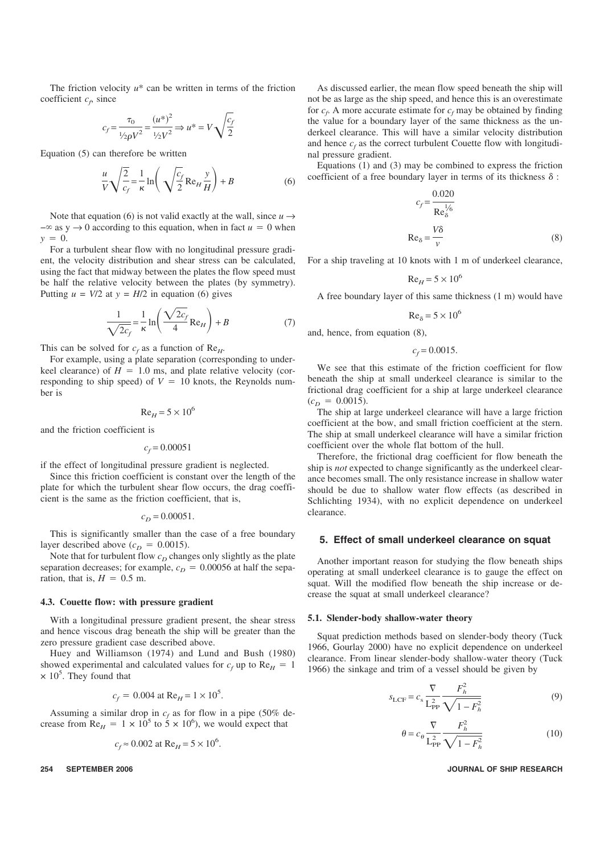The friction velocity  $u^*$  can be written in terms of the friction coefficient  $c_f$ , since

$$
c_f = \frac{\tau_0}{\frac{1}{2\rho V^2}} = \frac{(u^*)^2}{\frac{1}{2V^2}} \Rightarrow u^* = V \sqrt{\frac{c_f}{2}}
$$

Equation (5) can therefore be written

$$
\frac{u}{V}\sqrt{\frac{2}{c_f}} = \frac{1}{\kappa} \ln\left(\sqrt{\frac{c_f}{2}}\operatorname{Re}_H \frac{y}{H}\right) + B
$$
 (6)

Note that equation (6) is not valid exactly at the wall, since  $u \rightarrow$  $-\infty$  as y  $\rightarrow$  0 according to this equation, when in fact  $u = 0$  when  $y = 0$ .

For a turbulent shear flow with no longitudinal pressure gradient, the velocity distribution and shear stress can be calculated, using the fact that midway between the plates the flow speed must be half the relative velocity between the plates (by symmetry). Putting  $u = V/2$  at  $y = H/2$  in equation (6) gives

$$
\frac{1}{\sqrt{2c_f}} = \frac{1}{\kappa} \ln \left( \frac{\sqrt{2c_f}}{4} \text{Re}_H \right) + B \tag{7}
$$

This can be solved for  $c_f$  as a function of Re<sub>H</sub>.

For example, using a plate separation (corresponding to underkeel clearance) of  $H = 1.0$  ms, and plate relative velocity (corresponding to ship speed) of  $V = 10$  knots, the Reynolds number is

$$
Re_H = 5 \times 10^6
$$

and the friction coefficient is

$$
c_f = 0.00051
$$

if the effect of longitudinal pressure gradient is neglected.

Since this friction coefficient is constant over the length of the plate for which the turbulent shear flow occurs, the drag coefficient is the same as the friction coefficient, that is,

$$
c_D = 0.00051.
$$

This is significantly smaller than the case of a free boundary layer described above  $(c_D = 0.0015)$ .

Note that for turbulent flow  $c<sub>D</sub>$  changes only slightly as the plate separation decreases; for example,  $c_D = 0.00056$  at half the separation, that is,  $H = 0.5$  m.

# **4.3. Couette flow: with pressure gradient**

With a longitudinal pressure gradient present, the shear stress and hence viscous drag beneath the ship will be greater than the zero pressure gradient case described above.

Huey and Williamson (1974) and Lund and Bush (1980) showed experimental and calculated values for  $c_f$  up to  $Re<sub>H</sub> = 1$  $\times$  10<sup>5</sup>. They found that

$$
c_f = 0.004
$$
 at Re<sub>H</sub> = 1 × 10<sup>5</sup>.

Assuming a similar drop in  $c_f$  as for flow in a pipe (50% decrease from  $Re<sub>H</sub> = 1 \times 10^5$  to  $\frac{2}{5} \times 10^6$ ), we would expect that

$$
c_f \approx 0.002
$$
 at Re<sub>H</sub> = 5 × 10<sup>6</sup>.

As discussed earlier, the mean flow speed beneath the ship will not be as large as the ship speed, and hence this is an overestimate for  $c_f$  A more accurate estimate for  $c_f$  may be obtained by finding the value for a boundary layer of the same thickness as the underkeel clearance. This will have a similar velocity distribution and hence  $c_f$  as the correct turbulent Couette flow with longitudinal pressure gradient.

Equations (1) and (3) may be combined to express the friction coefficient of a free boundary layer in terms of its thickness  $\delta$ :

$$
c_f = \frac{0.020}{\text{Re}_\delta^{1/6}}
$$
  
Re<sub>δ</sub> =  $\frac{V\delta}{v}$  (8)

For a ship traveling at 10 knots with 1 m of underkeel clearance,

$$
\text{Re}_H = 5 \times 10^6
$$

A free boundary layer of this same thickness (1 m) would have

$$
Re_{\delta} = 5 \times 10^6
$$

and, hence, from equation (8),

 $c_f = 0.0015$ .

We see that this estimate of the friction coefficient for flow beneath the ship at small underkeel clearance is similar to the frictional drag coefficient for a ship at large underkeel clearance  $(c_D = 0.0015).$ 

The ship at large underkeel clearance will have a large friction coefficient at the bow, and small friction coefficient at the stern. The ship at small underkeel clearance will have a similar friction coefficient over the whole flat bottom of the hull.

Therefore, the frictional drag coefficient for flow beneath the ship is *not* expected to change significantly as the underkeel clearance becomes small. The only resistance increase in shallow water should be due to shallow water flow effects (as described in Schlichting 1934), with no explicit dependence on underkeel clearance.

## **5. Effect of small underkeel clearance on squat**

Another important reason for studying the flow beneath ships operating at small underkeel clearance is to gauge the effect on squat. Will the modified flow beneath the ship increase or decrease the squat at small underkeel clearance?

#### **5.1. Slender-body shallow-water theory**

Squat prediction methods based on slender-body theory (Tuck 1966, Gourlay 2000) have no explicit dependence on underkeel clearance. From linear slender-body shallow-water theory (Tuck 1966) the sinkage and trim of a vessel should be given by

$$
s_{\text{LCF}} = c_{\text{s}} \frac{\nabla}{L_{\text{PP}}^2} \frac{F_h^2}{\sqrt{1 - F_h^2}}
$$
(9)

$$
\theta = c_{\theta} \frac{\nabla}{L_{\text{PP}}^2} \frac{F_h^2}{\sqrt{1 - F_h^2}}
$$
(10)

#### **254 SEPTEMBER 2006 JOURNAL OF SHIP RESEARCH**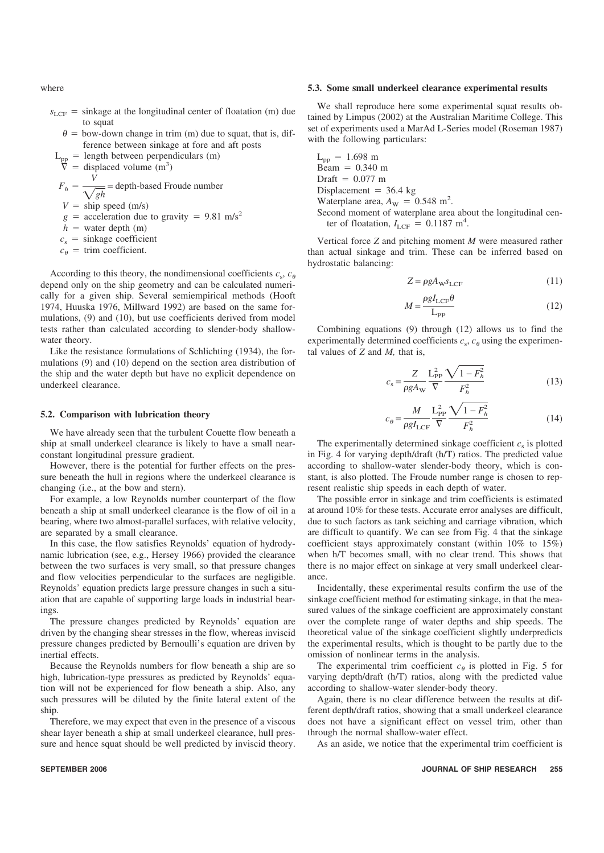where

- $s_{\text{LCF}}$  = sinkage at the longitudinal center of floatation (m) due to squat
	- $\theta$  = bow-down change in trim (m) due to squat, that is, difference between sinkage at fore and aft posts
- $L_{\text{pp}}$  = length between perpendiculars (m)

 $\overline{\nabla}$  = displaced volume (m<sup>3</sup>)

 $F_h = \frac{V}{\sqrt{gh}}$  = depth-based Froude number  $V =$ ship speed (m/s)

- $g =$  acceleration due to gravity = 9.81 m/s<sup>2</sup>
- $h =$  water depth (m)
- $c_s$  = sinkage coefficient
- $c_{\theta}$  = trim coefficient.

According to this theory, the nondimensional coefficients  $c_s$ ,  $c_\theta$ depend only on the ship geometry and can be calculated numerically for a given ship. Several semiempirical methods (Hooft 1974, Huuska 1976, Millward 1992) are based on the same formulations, (9) and (10), but use coefficients derived from model tests rather than calculated according to slender-body shallowwater theory.

Like the resistance formulations of Schlichting (1934), the formulations (9) and (10) depend on the section area distribution of the ship and the water depth but have no explicit dependence on underkeel clearance.

# **5.2. Comparison with lubrication theory**

We have already seen that the turbulent Couette flow beneath a ship at small underkeel clearance is likely to have a small nearconstant longitudinal pressure gradient.

However, there is the potential for further effects on the pressure beneath the hull in regions where the underkeel clearance is changing (i.e., at the bow and stern).

For example, a low Reynolds number counterpart of the flow beneath a ship at small underkeel clearance is the flow of oil in a bearing, where two almost-parallel surfaces, with relative velocity, are separated by a small clearance.

In this case, the flow satisfies Reynolds' equation of hydrodynamic lubrication (see, e.g., Hersey 1966) provided the clearance between the two surfaces is very small, so that pressure changes and flow velocities perpendicular to the surfaces are negligible. Reynolds' equation predicts large pressure changes in such a situation that are capable of supporting large loads in industrial bearings.

The pressure changes predicted by Reynolds' equation are driven by the changing shear stresses in the flow, whereas inviscid pressure changes predicted by Bernoulli's equation are driven by inertial effects.

Because the Reynolds numbers for flow beneath a ship are so high, lubrication-type pressures as predicted by Reynolds' equation will not be experienced for flow beneath a ship. Also, any such pressures will be diluted by the finite lateral extent of the ship.

Therefore, we may expect that even in the presence of a viscous shear layer beneath a ship at small underkeel clearance, hull pressure and hence squat should be well predicted by inviscid theory.

# **5.3. Some small underkeel clearance experimental results**

We shall reproduce here some experimental squat results obtained by Limpus (2002) at the Australian Maritime College. This set of experiments used a MarAd L-Series model (Roseman 1987) with the following particulars:

 $L_{\text{pp}} = 1.698 \text{ m}$  $Beam = 0.340 m$ Draft  $= 0.077$  m Displacement =  $36.4$  kg Waterplane area,  $A_{\text{W}} = 0.548 \text{ m}^2$ . Second moment of waterplane area about the longitudinal cen-

ter of floatation,  $I_{\text{LCF}} = 0.1187 \text{ m}^4$ .

Vertical force *Z* and pitching moment *M* were measured rather than actual sinkage and trim. These can be inferred based on hydrostatic balancing:

$$
Z = \rho g A_{\rm W} s_{\rm LCF} \tag{11}
$$

$$
M = \frac{\rho g I_{\text{LCF}} \theta}{L_{\text{PP}}}
$$
(12)

Combining equations (9) through (12) allows us to find the experimentally determined coefficients  $c_s$ ,  $c_\theta$  using the experimental values of *Z* and *M,* that is,

$$
c_s = \frac{Z}{\rho g A_{\rm w}} \frac{L_{\rm PP}^2}{\nabla} \frac{\sqrt{1 - F_h^2}}{F_h^2}
$$
(13)

$$
c_{\theta} = \frac{M}{\rho g I_{\text{LCF}}} \frac{\mathcal{L}_{\text{PP}}^2}{\nabla} \frac{\sqrt{1 - F_h^2}}{F_h^2}
$$
(14)

The experimentally determined sinkage coefficient  $c_s$  is plotted in Fig. 4 for varying depth/draft (h/T) ratios. The predicted value according to shallow-water slender-body theory, which is constant, is also plotted. The Froude number range is chosen to represent realistic ship speeds in each depth of water.

The possible error in sinkage and trim coefficients is estimated at around 10% for these tests. Accurate error analyses are difficult, due to such factors as tank seiching and carriage vibration, which are difficult to quantify. We can see from Fig. 4 that the sinkage coefficient stays approximately constant (within 10% to 15%) when h/T becomes small, with no clear trend. This shows that there is no major effect on sinkage at very small underkeel clearance.

Incidentally, these experimental results confirm the use of the sinkage coefficient method for estimating sinkage, in that the measured values of the sinkage coefficient are approximately constant over the complete range of water depths and ship speeds. The theoretical value of the sinkage coefficient slightly underpredicts the experimental results, which is thought to be partly due to the omission of nonlinear terms in the analysis.

The experimental trim coefficient  $c_{\theta}$  is plotted in Fig. 5 for varying depth/draft (h/T) ratios, along with the predicted value according to shallow-water slender-body theory.

Again, there is no clear difference between the results at different depth/draft ratios, showing that a small underkeel clearance does not have a significant effect on vessel trim, other than through the normal shallow-water effect.

As an aside, we notice that the experimental trim coefficient is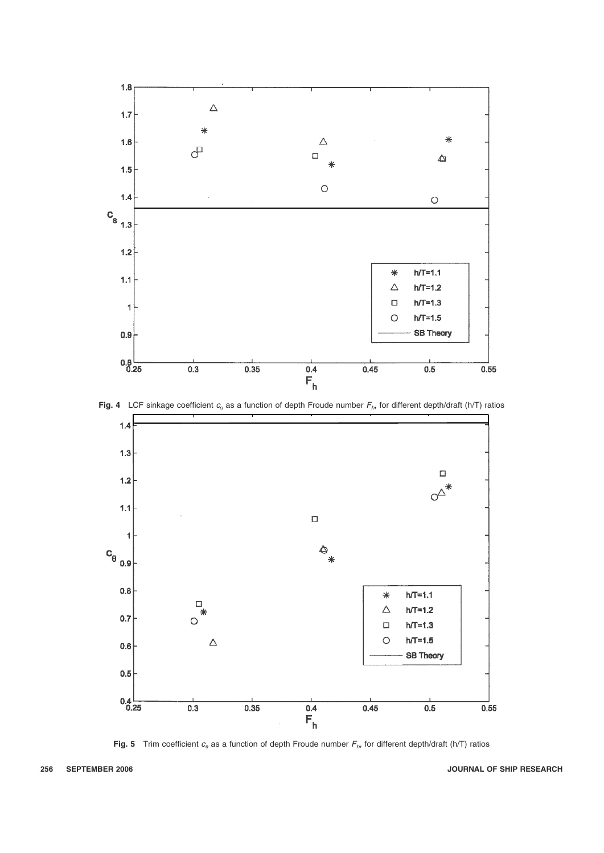





**Fig. 5** Trim coefficient  $c_{\theta}$  as a function of depth Froude number  $F_{h}$ , for different depth/draft (h/T) ratios

# **256 SEPTEMBER 2006 JOURNAL OF SHIP RESEARCH**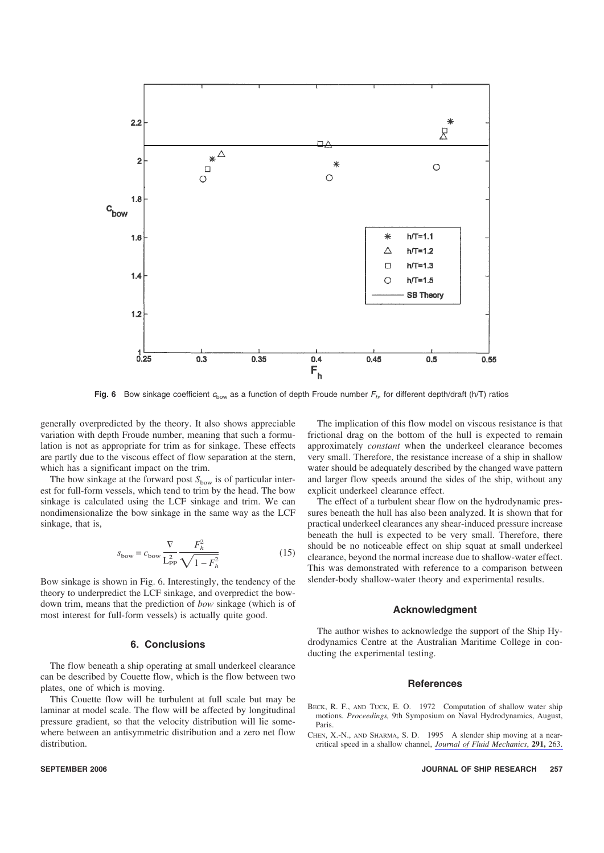

**Fig. 6** Bow sinkage coefficient  $c_{\text{bow}}$  as a function of depth Froude number  $F_n$ , for different depth/draft (h/T) ratios

generally overpredicted by the theory. It also shows appreciable variation with depth Froude number, meaning that such a formulation is not as appropriate for trim as for sinkage. These effects are partly due to the viscous effect of flow separation at the stern, which has a significant impact on the trim.

The bow sinkage at the forward post  $S_{\text{bow}}$  is of particular interest for full-form vessels, which tend to trim by the head. The bow sinkage is calculated using the LCF sinkage and trim. We can nondimensionalize the bow sinkage in the same way as the LCF sinkage, that is,

$$
s_{\text{bow}} = c_{\text{bow}} \frac{\nabla}{L_{\text{PP}}^2} \frac{F_h^2}{\sqrt{1 - F_h^2}}
$$
(15)

Bow sinkage is shown in Fig. 6. Interestingly, the tendency of the theory to underpredict the LCF sinkage, and overpredict the bowdown trim, means that the prediction of *bow* sinkage (which is of most interest for full-form vessels) is actually quite good.

# **6. Conclusions**

The flow beneath a ship operating at small underkeel clearance can be described by Couette flow, which is the flow between two plates, one of which is moving.

This Couette flow will be turbulent at full scale but may be laminar at model scale. The flow will be affected by longitudinal pressure gradient, so that the velocity distribution will lie somewhere between an antisymmetric distribution and a zero net flow distribution.

The implication of this flow model on viscous resistance is that frictional drag on the bottom of the hull is expected to remain approximately *constant* when the underkeel clearance becomes very small. Therefore, the resistance increase of a ship in shallow water should be adequately described by the changed wave pattern and larger flow speeds around the sides of the ship, without any explicit underkeel clearance effect.

The effect of a turbulent shear flow on the hydrodynamic pressures beneath the hull has also been analyzed. It is shown that for practical underkeel clearances any shear-induced pressure increase beneath the hull is expected to be very small. Therefore, there should be no noticeable effect on ship squat at small underkeel clearance, beyond the normal increase due to shallow-water effect. This was demonstrated with reference to a comparison between slender-body shallow-water theory and experimental results.

#### **Acknowledgment**

The author wishes to acknowledge the support of the Ship Hydrodynamics Centre at the Australian Maritime College in conducting the experimental testing.

#### **References**

- BECK, R. F., AND TUCK, E. O. 1972 Computation of shallow water ship motions. *Proceedings,* 9th Symposium on Naval Hydrodynamics, August, Paris.
- CHEN, X.-N., AND SHARMA, S. D. 1995 A slender ship moving at a nearcritical speed in a shallow channel, *Journal of Fluid Mechanics*, **291,** 263.